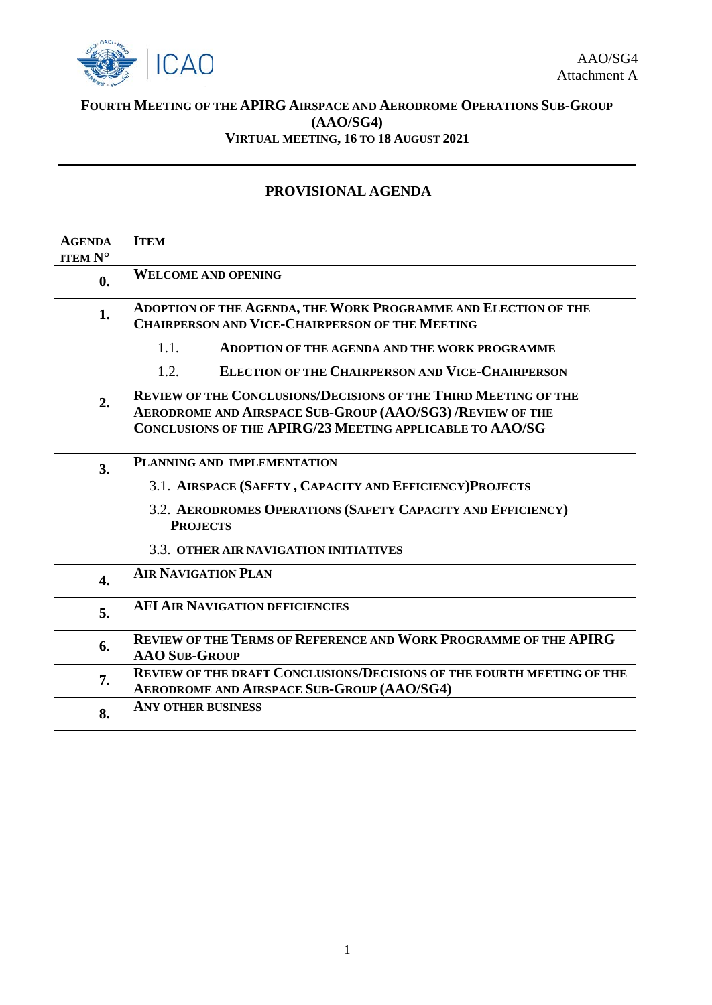

## **FOURTH MEETING OF THE APIRG AIRSPACE AND AERODROME OPERATIONS SUB-GROUP (AAO/SG4) VIRTUAL MEETING, 16 TO 18 AUGUST 2021**

## **PROVISIONAL AGENDA**

| <b>AGENDA</b><br><b>ITEM N°</b> | <b>ITEM</b>                                                                                                                                                                                     |  |  |  |
|---------------------------------|-------------------------------------------------------------------------------------------------------------------------------------------------------------------------------------------------|--|--|--|
| $\mathbf{0}$ .                  | <b>WELCOME AND OPENING</b>                                                                                                                                                                      |  |  |  |
| 1.                              | ADOPTION OF THE AGENDA, THE WORK PROGRAMME AND ELECTION OF THE<br><b>CHAIRPERSON AND VICE-CHAIRPERSON OF THE MEETING</b>                                                                        |  |  |  |
|                                 | 1.1.<br><b>ADOPTION OF THE AGENDA AND THE WORK PROGRAMME</b>                                                                                                                                    |  |  |  |
|                                 | 1.2.<br><b>ELECTION OF THE CHAIRPERSON AND VICE-CHAIRPERSON</b>                                                                                                                                 |  |  |  |
| 2.                              | <b>REVIEW OF THE CONCLUSIONS/DECISIONS OF THE THIRD MEETING OF THE</b><br>AERODROME AND AIRSPACE SUB-GROUP (AAO/SG3) /REVIEW OF THE<br>CONCLUSIONS OF THE APIRG/23 MEETING APPLICABLE TO AAO/SG |  |  |  |
| 3.                              | PLANNING AND IMPLEMENTATION                                                                                                                                                                     |  |  |  |
|                                 | 3.1. AIRSPACE (SAFETY, CAPACITY AND EFFICIENCY) PROJECTS                                                                                                                                        |  |  |  |
|                                 | 3.2. AERODROMES OPERATIONS (SAFETY CAPACITY AND EFFICIENCY)<br><b>PROJECTS</b>                                                                                                                  |  |  |  |
|                                 | 3.3. OTHER AIR NAVIGATION INITIATIVES                                                                                                                                                           |  |  |  |
| $\overline{4}$ .                | <b>AIR NAVIGATION PLAN</b>                                                                                                                                                                      |  |  |  |
| 5.                              | <b>AFI AIR NAVIGATION DEFICIENCIES</b>                                                                                                                                                          |  |  |  |
| 6.                              | <b>REVIEW OF THE TERMS OF REFERENCE AND WORK PROGRAMME OF THE APIRG</b><br><b>AAO SUB-GROUP</b>                                                                                                 |  |  |  |
| 7.                              | <b>REVIEW OF THE DRAFT CONCLUSIONS/DECISIONS OF THE FOURTH MEETING OF THE</b><br><b>AERODROME AND AIRSPACE SUB-GROUP (AAO/SG4)</b>                                                              |  |  |  |
| 8.                              | <b>ANY OTHER BUSINESS</b>                                                                                                                                                                       |  |  |  |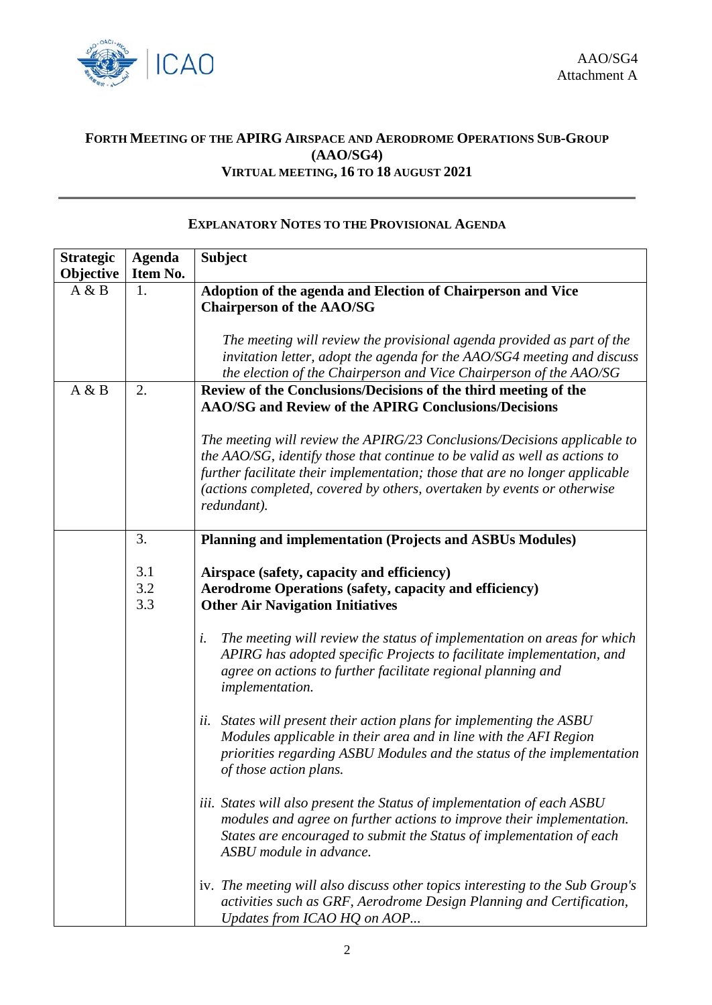

## **FORTH MEETING OF THE APIRG AIRSPACE AND AERODROME OPERATIONS SUB-GROUP (AAO/SG4) VIRTUAL MEETING, 16 TO 18 AUGUST 2021**

## **EXPLANATORY NOTES TO THE PROVISIONAL AGENDA**

| <b>Strategic</b><br>Objective | <b>Agenda</b><br>Item No. | <b>Subject</b>                                                                                                                                                                                                                                                                                                                   |
|-------------------------------|---------------------------|----------------------------------------------------------------------------------------------------------------------------------------------------------------------------------------------------------------------------------------------------------------------------------------------------------------------------------|
| A & B                         | 1.                        | Adoption of the agenda and Election of Chairperson and Vice<br><b>Chairperson of the AAO/SG</b><br>The meeting will review the provisional agenda provided as part of the                                                                                                                                                        |
|                               |                           | invitation letter, adopt the agenda for the AAO/SG4 meeting and discuss<br>the election of the Chairperson and Vice Chairperson of the AAO/SG                                                                                                                                                                                    |
| A & B                         | 2.                        | Review of the Conclusions/Decisions of the third meeting of the<br>AAO/SG and Review of the APIRG Conclusions/Decisions                                                                                                                                                                                                          |
|                               |                           | The meeting will review the APIRG/23 Conclusions/Decisions applicable to<br>the AAO/SG, identify those that continue to be valid as well as actions to<br>further facilitate their implementation; those that are no longer applicable<br>(actions completed, covered by others, overtaken by events or otherwise<br>redundant). |
|                               | 3.                        | Planning and implementation (Projects and ASBUs Modules)                                                                                                                                                                                                                                                                         |
|                               | 3.1<br>3.2<br>3.3         | Airspace (safety, capacity and efficiency)<br><b>Aerodrome Operations (safety, capacity and efficiency)</b><br><b>Other Air Navigation Initiatives</b>                                                                                                                                                                           |
|                               |                           | The meeting will review the status of implementation on areas for which<br>i.<br>APIRG has adopted specific Projects to facilitate implementation, and<br>agree on actions to further facilitate regional planning and<br>implementation.                                                                                        |
|                               |                           | ii. States will present their action plans for implementing the ASBU<br>Modules applicable in their area and in line with the AFI Region<br>priorities regarding ASBU Modules and the status of the implementation<br>of those action plans.                                                                                     |
|                               |                           | iii. States will also present the Status of implementation of each ASBU<br>modules and agree on further actions to improve their implementation.<br>States are encouraged to submit the Status of implementation of each<br>ASBU module in advance.                                                                              |
|                               |                           | iv. The meeting will also discuss other topics interesting to the Sub Group's<br>activities such as GRF, Aerodrome Design Planning and Certification,<br>Updates from ICAO HQ on AOP                                                                                                                                             |